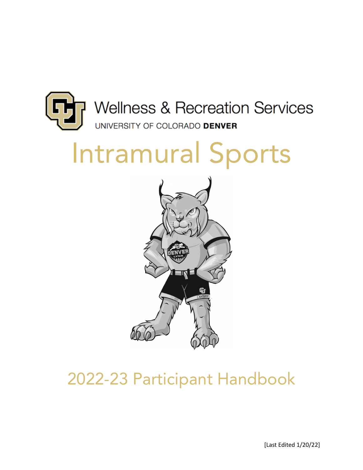

# Intramural Sports



# 2022-23 Participant Handbook

[Last Edited 1/20/22]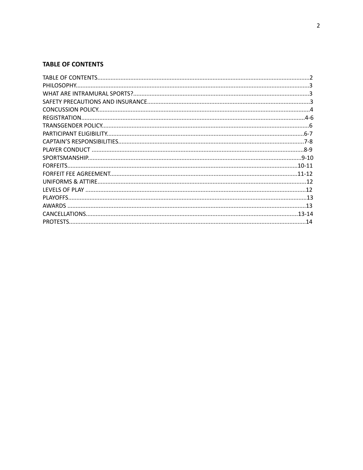# **TABLE OF CONTENTS**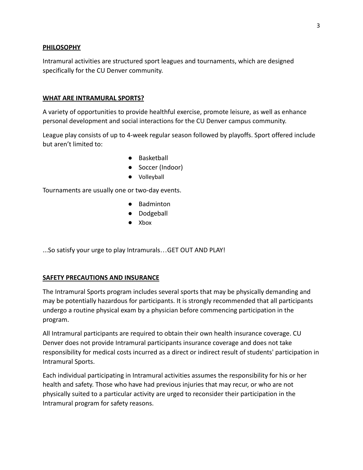#### **PHILOSOPHY**

Intramural activities are structured sport leagues and tournaments, which are designed specifically for the CU Denver community.

#### **WHAT ARE INTRAMURAL SPORTS?**

A variety of opportunities to provide healthful exercise, promote leisure, as well as enhance personal development and social interactions for the CU Denver campus community.

League play consists of up to 4-week regular season followed by playoffs. Sport offered include but aren't limited to:

- Basketball
- Soccer (Indoor)
- Volleyball

Tournaments are usually one or two-day events.

- Badminton
- Dodgeball
- Xbox

...So satisfy your urge to play Intramurals…GET OUT AND PLAY!

#### **SAFETY PRECAUTIONS AND INSURANCE**

The Intramural Sports program includes several sports that may be physically demanding and may be potentially hazardous for participants. It is strongly recommended that all participants undergo a routine physical exam by a physician before commencing participation in the program.

All Intramural participants are required to obtain their own health insurance coverage. CU Denver does not provide Intramural participants insurance coverage and does not take responsibility for medical costs incurred as a direct or indirect result of students' participation in Intramural Sports.

Each individual participating in Intramural activities assumes the responsibility for his or her health and safety. Those who have had previous injuries that may recur, or who are not physically suited to a particular activity are urged to reconsider their participation in the Intramural program for safety reasons.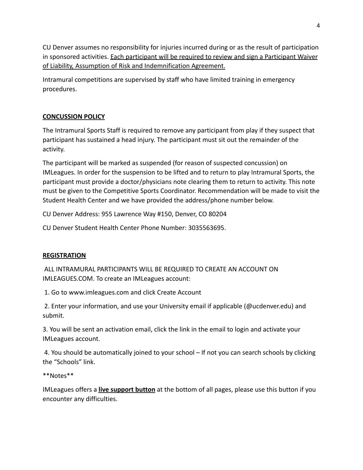CU Denver assumes no responsibility for injuries incurred during or as the result of participation in sponsored activities. Each participant will be required to review and sign a Participant Waiver of Liability, Assumption of Risk and Indemnification Agreement.

Intramural competitions are supervised by staff who have limited training in emergency procedures.

# **CONCUSSION POLICY**

The Intramural Sports Staff is required to remove any participant from play if they suspect that participant has sustained a head injury. The participant must sit out the remainder of the activity.

The participant will be marked as suspended (for reason of suspected concussion) on IMLeagues. In order for the suspension to be lifted and to return to play Intramural Sports, the participant must provide a doctor/physicians note clearing them to return to activity. This note must be given to the Competitive Sports Coordinator. Recommendation will be made to visit the Student Health Center and we have provided the address/phone number below.

CU Denver Address: 955 Lawrence Way #150, Denver, CO 80204

CU Denver Student Health Center Phone Number: 3035563695.

# **REGISTRATION**

ALL INTRAMURAL PARTICIPANTS WILL BE REQUIRED TO CREATE AN ACCOUNT ON IMLEAGUES.COM. To create an IMLeagues account:

1. Go to www.imleagues.com and click Create Account

2. Enter your information, and use your University email if applicable (@ucdenver.edu) and submit.

3. You will be sent an activation email, click the link in the email to login and activate your IMLeagues account.

4. You should be automatically joined to your school – If not you can search schools by clicking the "Schools" link.

\*\*Notes\*\*

IMLeagues offers a **live support button** at the bottom of all pages, please use this button if you encounter any difficulties.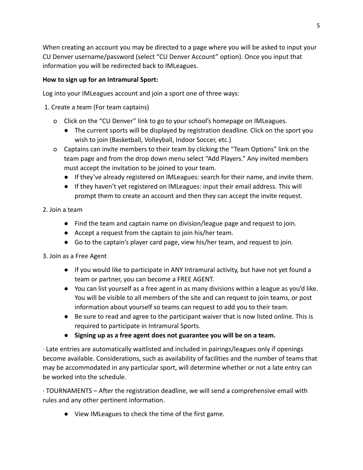When creating an account you may be directed to a page where you will be asked to input your CU Denver username/password (select "CU Denver Account" option). Once you input that information you will be redirected back to IMLeagues.

# **How to sign up for an Intramural Sport:**

Log into your IMLeagues account and join a sport one of three ways:

# 1. Create a team (For team captains)

- o Click on the "CU Denver" link to go to your school's homepage on IMLeagues.
	- The current sports will be displayed by registration deadline. Click on the sport you wish to join (Basketball, Volleyball, Indoor Soccer, etc.)
- o Captains can invite members to their team by clicking the "Team Options" link on the team page and from the drop down menu select "Add Players." Any invited members must accept the invitation to be joined to your team.
	- If they've already registered on IMLeagues: search for their name, and invite them.
	- If they haven't yet registered on IMLeagues: input their email address. This will prompt them to create an account and then they can accept the invite request.

# 2. Join a team

- Find the team and captain name on division/league page and request to join.
- Accept a request from the captain to join his/her team.
- Go to the captain's player card page, view his/her team, and request to join.
- 3. Join as a Free Agent
	- If you would like to participate in ANY Intramural activity, but have not yet found a team or partner, you can become a FREE AGENT.
	- You can list yourself as a free agent in as many divisions within a league as you'd like. You will be visible to all members of the site and can request to join teams, or post information about yourself so teams can request to add you to their team.
	- Be sure to read and agree to the participant waiver that is now listed online. This is required to participate in Intramural Sports.
	- **● Signing up as a free agent does not guarantee you will be on a team.**

∙ Late entries are automatically waitlisted and included in pairings/leagues only if openings become available. Considerations, such as availability of facilities and the number of teams that may be accommodated in any particular sport, will determine whether or not a late entry can be worked into the schedule.

∙ TOURNAMENTS – After the registration deadline, we will send a comprehensive email with rules and any other pertinent information.

● View IMLeagues to check the time of the first game.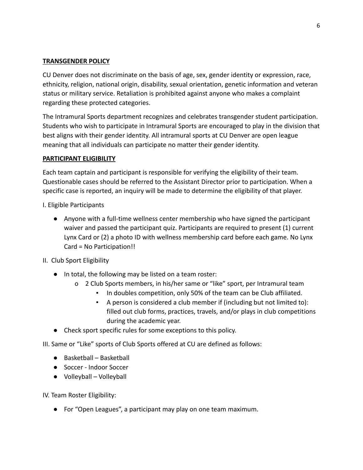# **TRANSGENDER POLICY**

CU Denver does not discriminate on the basis of age, sex, gender identity or expression, race, ethnicity, religion, national origin, disability, sexual orientation, genetic information and veteran status or military service. Retaliation is prohibited against anyone who makes a complaint regarding these protected categories.

The Intramural Sports department recognizes and celebrates transgender student participation. Students who wish to participate in Intramural Sports are encouraged to play in the division that best aligns with their gender identity. All intramural sports at CU Denver are open league meaning that all individuals can participate no matter their gender identity.

#### **PARTICIPANT ELIGIBILITY**

Each team captain and participant is responsible for verifying the eligibility of their team. Questionable cases should be referred to the Assistant Director prior to participation. When a specific case is reported, an inquiry will be made to determine the eligibility of that player.

I. Eligible Participants

- Anyone with a full-time wellness center membership who have signed the participant waiver and passed the participant quiz. Participants are required to present (1) current Lynx Card or (2) a photo ID with wellness membership card before each game. No Lynx Card = No Participation!!
- II. Club Sport Eligibility
	- In total, the following may be listed on a team roster:
		- o 2 Club Sports members, in his/her same or "like" sport, per Intramural team
			- In doubles competition, only 50% of the team can be Club affiliated.
			- A person is considered a club member if (including but not limited to): filled out club forms, practices, travels, and/or plays in club competitions during the academic year.
	- Check sport specific rules for some exceptions to this policy.

III. Same or "Like" sports of Club Sports offered at CU are defined as follows:

- Basketball Basketball
- Soccer Indoor Soccer
- Volleyball Volleyball

IV. Team Roster Eligibility:

● For "Open Leagues", a participant may play on one team maximum.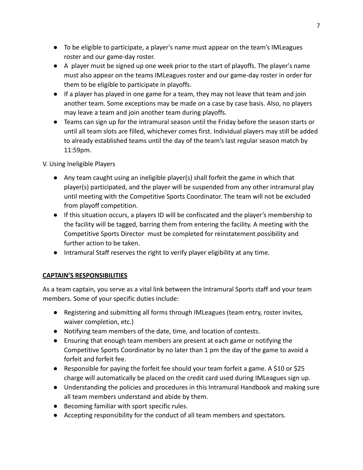- To be eligible to participate, a player's name must appear on the team's IMLeagues roster and our game-day roster.
- A player must be signed up one week prior to the start of playoffs. The player's name must also appear on the teams IMLeagues roster and our game-day roster in order for them to be eligible to participate in playoffs.
- If a player has played in one game for a team, they may not leave that team and join another team. Some exceptions may be made on a case by case basis. Also, no players may leave a team and join another team during playoffs.
- Teams can sign up for the intramural season until the Friday before the season starts or until all team slots are filled, whichever comes first. Individual players may still be added to already established teams until the day of the team's last regular season match by 11:59pm.

V. Using Ineligible Players

- Any team caught using an ineligible player(s) shall forfeit the game in which that player(s) participated, and the player will be suspended from any other intramural play until meeting with the Competitive Sports Coordinator. The team will not be excluded from playoff competition.
- If this situation occurs, a players ID will be confiscated and the player's membership to the facility will be tagged, barring them from entering the facility. A meeting with the Competitive Sports Director must be completed for reinstatement possibility and further action to be taken.
- Intramural Staff reserves the right to verify player eligibility at any time.

# **CAPTAIN'S RESPONSIBILITIES**

As a team captain, you serve as a vital link between the Intramural Sports staff and your team members. Some of your specific duties include:

- Registering and submitting all forms through IMLeagues (team entry, roster invites, waiver completion, etc.)
- Notifying team members of the date, time, and location of contests.
- Ensuring that enough team members are present at each game or notifying the Competitive Sports Coordinator by no later than 1 pm the day of the game to avoid a forfeit and forfeit fee.
- Responsible for paying the forfeit fee should your team forfeit a game. A \$10 or \$25 charge will automatically be placed on the credit card used during IMLeagues sign up.
- Understanding the policies and procedures in this Intramural Handbook and making sure all team members understand and abide by them.
- Becoming familiar with sport specific rules.
- Accepting responsibility for the conduct of all team members and spectators.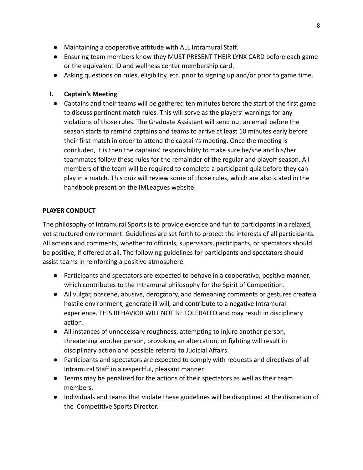- Maintaining a cooperative attitude with ALL Intramural Staff.
- Ensuring team members know they MUST PRESENT THEIR LYNX CARD before each game or the equivalent ID and wellness center membership card.
- Asking questions on rules, eligibility, etc. prior to signing up and/or prior to game time.

#### **I. Captain's Meeting**

● Captains and their teams will be gathered ten minutes before the start of the first game to discuss pertinent match rules. This will serve as the players' warnings for any violations of those rules. The Graduate Assistant will send out an email before the season starts to remind captains and teams to arrive at least 10 minutes early before their first match in order to attend the captain's meeting. Once the meeting is concluded, it is then the captains' responsibility to make sure he/she and his/her teammates follow these rules for the remainder of the regular and playoff season. All members of the team will be required to complete a participant quiz before they can play in a match. This quiz will review some of those rules, which are also stated in the handbook present on the IMLeagues website.

#### **PLAYER CONDUCT**

The philosophy of Intramural Sports is to provide exercise and fun to participants in a relaxed, yet structured environment. Guidelines are set forth to protect the interests of all participants. All actions and comments, whether to officials, supervisors, participants, or spectators should be positive, if offered at all. The following guidelines for participants and spectators should assist teams in reinforcing a positive atmosphere.

- Participants and spectators are expected to behave in a cooperative, positive manner, which contributes to the Intramural philosophy for the Spirit of Competition.
- All vulgar, obscene, abusive, derogatory, and demeaning comments or gestures create a hostile environment, generate ill will, and contribute to a negative Intramural experience. THIS BEHAVIOR WILL NOT BE TOLERATED and may result in disciplinary action.
- All instances of unnecessary roughness, attempting to injure another person, threatening another person, provoking an altercation, or fighting will result in disciplinary action and possible referral to Judicial Affairs.
- Participants and spectators are expected to comply with requests and directives of all Intramural Staff in a respectful, pleasant manner.
- Teams may be penalized for the actions of their spectators as well as their team members.
- Individuals and teams that violate these guidelines will be disciplined at the discretion of the Competitive Sports Director.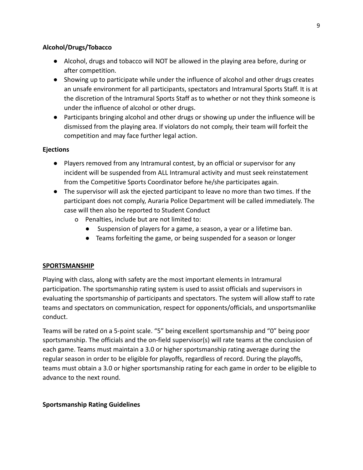# **Alcohol/Drugs/Tobacco**

- Alcohol, drugs and tobacco will NOT be allowed in the playing area before, during or after competition.
- Showing up to participate while under the influence of alcohol and other drugs creates an unsafe environment for all participants, spectators and Intramural Sports Staff. It is at the discretion of the Intramural Sports Staff as to whether or not they think someone is under the influence of alcohol or other drugs.
- Participants bringing alcohol and other drugs or showing up under the influence will be dismissed from the playing area. If violators do not comply, their team will forfeit the competition and may face further legal action.

#### **Ejections**

- Players removed from any Intramural contest, by an official or supervisor for any incident will be suspended from ALL Intramural activity and must seek reinstatement from the Competitive Sports Coordinator before he/she participates again.
- The supervisor will ask the ejected participant to leave no more than two times. If the participant does not comply, Auraria Police Department will be called immediately. The case will then also be reported to Student Conduct
	- o Penalties, include but are not limited to:
		- Suspension of players for a game, a season, a year or a lifetime ban.
		- Teams forfeiting the game, or being suspended for a season or longer

# **SPORTSMANSHIP**

Playing with class, along with safety are the most important elements in Intramural participation. The sportsmanship rating system is used to assist officials and supervisors in evaluating the sportsmanship of participants and spectators. The system will allow staff to rate teams and spectators on communication, respect for opponents/officials, and unsportsmanlike conduct.

Teams will be rated on a 5-point scale. "5" being excellent sportsmanship and "0" being poor sportsmanship. The officials and the on-field supervisor(s) will rate teams at the conclusion of each game. Teams must maintain a 3.0 or higher sportsmanship rating average during the regular season in order to be eligible for playoffs, regardless of record. During the playoffs, teams must obtain a 3.0 or higher sportsmanship rating for each game in order to be eligible to advance to the next round.

#### **Sportsmanship Rating Guidelines**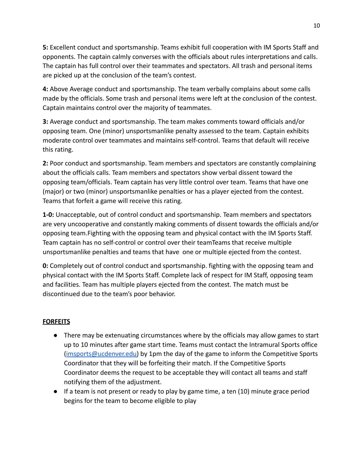**5:** Excellent conduct and sportsmanship. Teams exhibit full cooperation with IM Sports Staff and opponents. The captain calmly converses with the officials about rules interpretations and calls. The captain has full control over their teammates and spectators. All trash and personal items are picked up at the conclusion of the team's contest.

**4:** Above Average conduct and sportsmanship. The team verbally complains about some calls made by the officials. Some trash and personal items were left at the conclusion of the contest. Captain maintains control over the majority of teammates.

**3:** Average conduct and sportsmanship. The team makes comments toward officials and/or opposing team. One (minor) unsportsmanlike penalty assessed to the team. Captain exhibits moderate control over teammates and maintains self-control. Teams that default will receive this rating.

**2:** Poor conduct and sportsmanship. Team members and spectators are constantly complaining about the officials calls. Team members and spectators show verbal dissent toward the opposing team/officials. Team captain has very little control over team. Teams that have one (major) or two (minor) unsportsmanlike penalties or has a player ejected from the contest. Teams that forfeit a game will receive this rating.

**1-0:** Unacceptable, out of control conduct and sportsmanship. Team members and spectators are very uncooperative and constantly making comments of dissent towards the officials and/or opposing team.Fighting with the opposing team and physical contact with the IM Sports Staff. Team captain has no self-control or control over their teamTeams that receive multiple unsportsmanlike penalties and teams that have one or multiple ejected from the contest.

**0:** Completely out of control conduct and sportsmanship. fighting with the opposing team and physical contact with the IM Sports Staff. Complete lack of respect for IM Staff, opposing team and facilities. Team has multiple players ejected from the contest. The match must be discontinued due to the team's poor behavior.

# **FORFEITS**

- There may be extenuating circumstances where by the officials may allow games to start up to 10 minutes after game start time. Teams must contact the Intramural Sports office ([imsports@ucdenver.edu\)](mailto:imsports@ucdenver.edu) by 1pm the day of the game to inform the Competitive Sports Coordinator that they will be forfeiting their match. If the Competitive Sports Coordinator deems the request to be acceptable they will contact all teams and staff notifying them of the adjustment.
- If a team is not present or ready to play by game time, a ten (10) minute grace period begins for the team to become eligible to play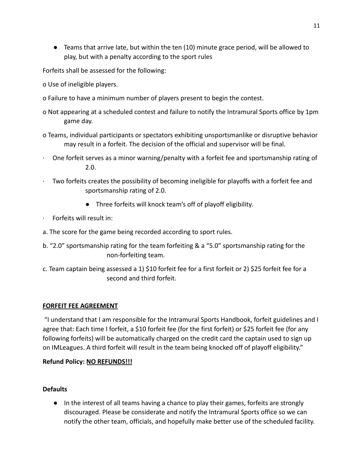● Teams that arrive late, but within the ten (10) minute grace period, will be allowed to play, but with a penalty according to the sport rules

Forfeits shall be assessed for the following:

- o Use of ineligible players.
- o Failure to have a minimum number of players present to begin the contest.
- o Not appearing at a scheduled contest and failure to notify the Intramural Sports office by 1pm game day.
- o Teams, individual participants or spectators exhibiting unsportsmanlike or disruptive behavior may result in a forfeit. The decision of the official and supervisor will be final.
- ∙ One forfeit serves as a minor warning/penalty with a forfeit fee and sportsmanship rating of 2.0.
- ∙ Two forfeits creates the possibility of becoming ineligible for playoffs with a forfeit fee and sportsmanship rating of 2.0.
	- Three forfeits will knock team's off of playoff eligibility.
- ∙ Forfeits will result in:
- a. The score for the game being recorded according to sport rules.
- b. "2.0" sportsmanship rating for the team forfeiting & a "5.0" sportsmanship rating for the non-forfeiting team.
- c. Team captain being assessed a 1) \$10 forfeit fee for a first forfeit or 2) \$25 forfeit fee for a second and third forfeit.

#### **FORFEIT FEE AGREEMENT**

"I understand that I am responsible for the Intramural Sports Handbook, forfeit guidelines and I agree that: Each time I forfeit, a \$10 forfeit fee (for the first forfeit) or \$25 forfeit fee (for any following forfeits) will be automatically charged on the credit card the captain used to sign up on IMLeagues. A third forfeit will result in the team being knocked off of playoff eligibility."

#### **Refund Policy: NO REFUNDS!!!**

#### **Defaults**

● In the interest of all teams having a chance to play their games, forfeits are strongly discouraged. Please be considerate and notify the Intramural Sports office so we can notify the other team, officials, and hopefully make better use of the scheduled facility.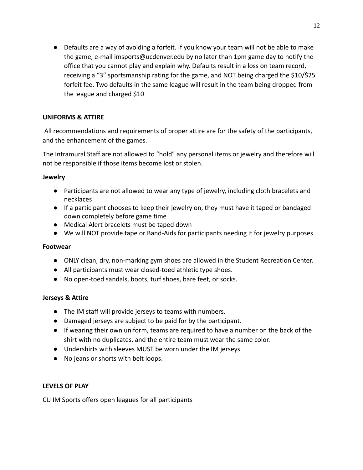● Defaults are a way of avoiding a forfeit. If you know your team will not be able to make the game, e-mail imsports@ucdenver.edu by no later than 1pm game day to notify the office that you cannot play and explain why. Defaults result in a loss on team record, receiving a "3" sportsmanship rating for the game, and NOT being charged the \$10/\$25 forfeit fee. Two defaults in the same league will result in the team being dropped from the league and charged \$10

#### **UNIFORMS & ATTIRE**

All recommendations and requirements of proper attire are for the safety of the participants, and the enhancement of the games.

The Intramural Staff are not allowed to "hold" any personal items or jewelry and therefore will not be responsible if those items become lost or stolen.

#### **Jewelry**

- Participants are not allowed to wear any type of jewelry, including cloth bracelets and necklaces
- If a participant chooses to keep their jewelry on, they must have it taped or bandaged down completely before game time
- Medical Alert bracelets must be taped down
- We will NOT provide tape or Band-Aids for participants needing it for jewelry purposes

#### **Footwear**

- ONLY clean, dry, non-marking gym shoes are allowed in the Student Recreation Center.
- All participants must wear closed-toed athletic type shoes.
- No open-toed sandals, boots, turf shoes, bare feet, or socks.

# **Jerseys & Attire**

- The IM staff will provide jerseys to teams with numbers.
- Damaged jerseys are subject to be paid for by the participant.
- If wearing their own uniform, teams are required to have a number on the back of the shirt with no duplicates, and the entire team must wear the same color.
- Undershirts with sleeves MUST be worn under the IM jerseys.
- No jeans or shorts with belt loops.

# **LEVELS OF PLAY**

CU IM Sports offers open leagues for all participants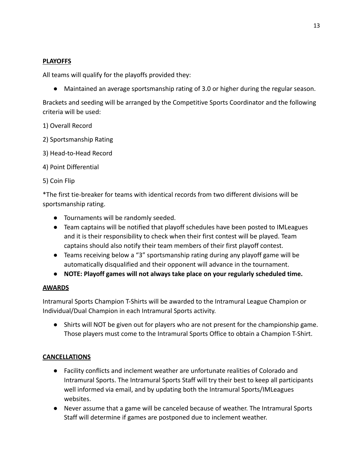# **PLAYOFFS**

All teams will qualify for the playoffs provided they:

● Maintained an average sportsmanship rating of 3.0 or higher during the regular season.

Brackets and seeding will be arranged by the Competitive Sports Coordinator and the following criteria will be used:

- 1) Overall Record
- 2) Sportsmanship Rating
- 3) Head-to-Head Record
- 4) Point Differential
- 5) Coin Flip

\*The first tie-breaker for teams with identical records from two different divisions will be sportsmanship rating.

- Tournaments will be randomly seeded.
- Team captains will be notified that playoff schedules have been posted to IMLeagues and it is their responsibility to check when their first contest will be played. Team captains should also notify their team members of their first playoff contest.
- Teams receiving below a "3" sportsmanship rating during any playoff game will be automatically disqualified and their opponent will advance in the tournament.
- **● NOTE: Playoff games will not always take place on your regularly scheduled time.**

# **AWARDS**

Intramural Sports Champion T-Shirts will be awarded to the Intramural League Champion or Individual/Dual Champion in each Intramural Sports activity.

● Shirts will NOT be given out for players who are not present for the championship game. Those players must come to the Intramural Sports Office to obtain a Champion T-Shirt.

# **CANCELLATIONS**

- Facility conflicts and inclement weather are unfortunate realities of Colorado and Intramural Sports. The Intramural Sports Staff will try their best to keep all participants well informed via email, and by updating both the Intramural Sports/IMLeagues websites.
- Never assume that a game will be canceled because of weather. The Intramural Sports Staff will determine if games are postponed due to inclement weather.